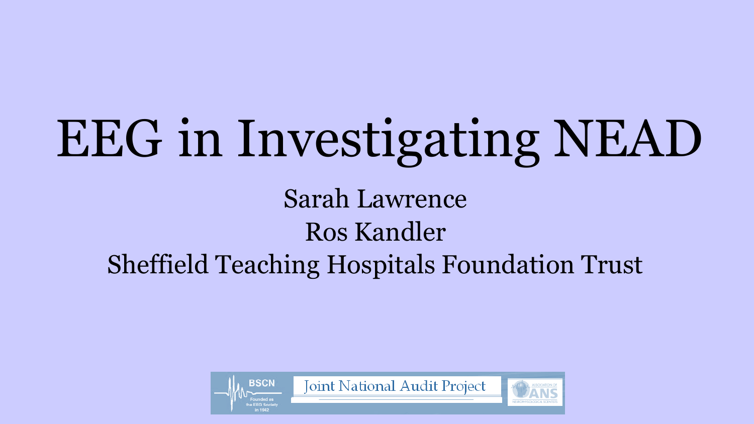# EEG in Investigating NEAD

Sarah Lawrence Ros Kandler Sheffield Teaching Hospitals Foundation Trust

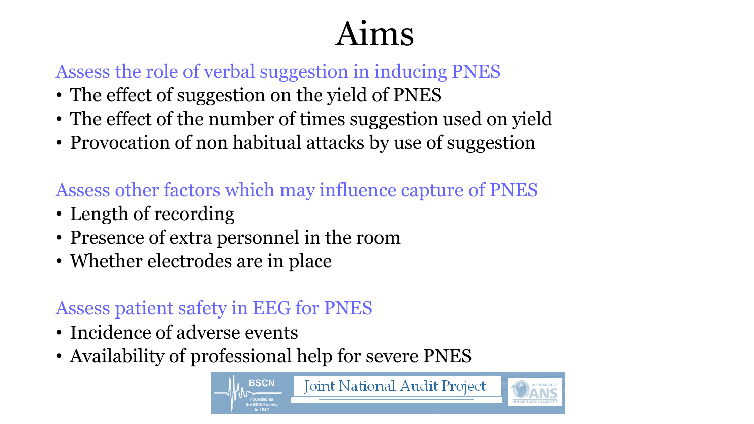### Aims

#### Assess the role of verbal suggestion in inducing PNES

- The effect of suggestion on the yield of PNES
- The effect of the number of times suggestion used on yield
- Provocation of non habitual attacks by use of suggestion

#### Assess other factors which may influence capture of PNES

- Length of recording
- Presence of extra personnel in the room
- Whether electrodes are in place

#### Assess patient safety in EEG for PNES

- Incidence of adverse events
- Availability of professional help for severe PNES

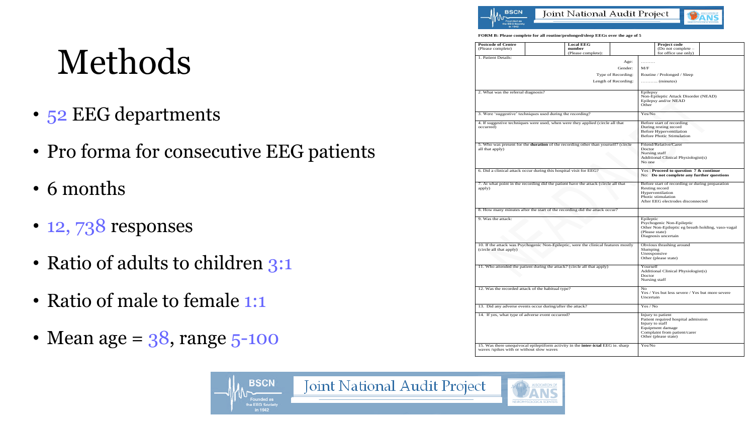#### Joint National Audit Project

**FORM B: Please complete for all routine/prolonged/sleep EEGs over the age of 5**

| <b>Postcode of Centre</b><br>(Please complete)                                     |  | <b>Local EEG</b><br>number |      |                                                                                    | Project code<br>(Do not complete $-$                               |  |  |
|------------------------------------------------------------------------------------|--|----------------------------|------|------------------------------------------------------------------------------------|--------------------------------------------------------------------|--|--|
|                                                                                    |  | (Please complete):         |      |                                                                                    | for office use only)                                               |  |  |
| 1. Patient Details:                                                                |  |                            |      |                                                                                    |                                                                    |  |  |
|                                                                                    |  |                            | Age: | .                                                                                  |                                                                    |  |  |
| Gender:                                                                            |  |                            |      | M/F                                                                                |                                                                    |  |  |
| Type of Recording:                                                                 |  |                            |      | Routine / Prolonged / Sleep                                                        |                                                                    |  |  |
| Length of Recording:                                                               |  |                            |      |                                                                                    |                                                                    |  |  |
|                                                                                    |  |                            |      |                                                                                    |                                                                    |  |  |
| 2. What was the referral diagnosis?                                                |  |                            |      | Epilepsy<br>Non-Epileptic Attack Disorder (NEAD)<br>Epilepsy and/or NEAD<br>Other  |                                                                    |  |  |
| 3. Were 'suggestive' techniques used during the recording?                         |  |                            |      | Yes/No                                                                             |                                                                    |  |  |
| 4. If suggestive techniques were used, when were they applied (circle all that     |  |                            |      |                                                                                    | Before start of recording                                          |  |  |
| occurred)                                                                          |  |                            |      |                                                                                    | During resting record                                              |  |  |
|                                                                                    |  |                            |      |                                                                                    | <b>Before Hyperventilation</b><br><b>Before Photic Stimulation</b> |  |  |
|                                                                                    |  |                            |      |                                                                                    |                                                                    |  |  |
| 5. Who was present for the duration of the recording other than yourself? (circle  |  |                            |      | Friend/Relative/Carer                                                              |                                                                    |  |  |
| all that apply)                                                                    |  |                            |      |                                                                                    | Doctor                                                             |  |  |
|                                                                                    |  |                            |      | Nursing staff<br>Additional Clinical Physiologist(s)                               |                                                                    |  |  |
|                                                                                    |  |                            |      | No one                                                                             |                                                                    |  |  |
|                                                                                    |  |                            |      |                                                                                    |                                                                    |  |  |
| 6. Did a clinical attack occur during this hospital visit for EEG?                 |  |                            |      | Yes: Proceed to question 7 & continue<br>No: Do not complete any further questions |                                                                    |  |  |
| 7. At what point in the recording did the patient have the attack (circle all that |  |                            |      |                                                                                    | Before start of recording or during preparation                    |  |  |
| apply)                                                                             |  |                            |      | Resting record                                                                     |                                                                    |  |  |
|                                                                                    |  |                            |      | Hyperventilation<br>Photic stimulation                                             |                                                                    |  |  |
|                                                                                    |  |                            |      |                                                                                    | After EEG electrodes disconnected                                  |  |  |
| 8. How many minutes after the start of the recording did the attack occur?         |  |                            |      |                                                                                    |                                                                    |  |  |
| 9. Was the attack:                                                                 |  |                            |      |                                                                                    |                                                                    |  |  |
|                                                                                    |  |                            |      | Epileptic<br>Psychogenic Non-Epileptic                                             |                                                                    |  |  |
|                                                                                    |  |                            |      | Other Non-Epileptic eg breath holding, vaso-vagal                                  |                                                                    |  |  |
|                                                                                    |  |                            |      | (Please state)                                                                     |                                                                    |  |  |
|                                                                                    |  |                            |      |                                                                                    | Diagnosis uncertain                                                |  |  |
| 10. If the attack was Psychogenic Non-Epileptic, were the clinical features mostly |  |                            |      |                                                                                    | Obvious thrashing around                                           |  |  |
| (circle all that apply)                                                            |  |                            |      | Slumping                                                                           |                                                                    |  |  |
|                                                                                    |  |                            |      | Unresponsive                                                                       |                                                                    |  |  |
|                                                                                    |  |                            |      |                                                                                    | Other (please state)                                               |  |  |
| 11. Who attended the patient during the attack? (circle all that apply)            |  |                            |      | Yourself                                                                           |                                                                    |  |  |
|                                                                                    |  |                            |      | Additional Clinical Physiologist(s)                                                |                                                                    |  |  |
|                                                                                    |  |                            |      | Doctor                                                                             |                                                                    |  |  |
|                                                                                    |  |                            |      | Nursing staff                                                                      |                                                                    |  |  |
| 12. Was the recorded attack of the habitual type?                                  |  |                            |      | No                                                                                 |                                                                    |  |  |
|                                                                                    |  |                            |      |                                                                                    | Yes / Yes but less severe / Yes but more severe                    |  |  |
|                                                                                    |  |                            |      | Uncertain                                                                          |                                                                    |  |  |
| 13. Did any adverse events occur during/after the attack?                          |  |                            |      | Yes / No                                                                           |                                                                    |  |  |
| 14. If yes, what type of adverse event occurred?                                   |  |                            |      |                                                                                    | Injury to patient                                                  |  |  |
|                                                                                    |  |                            |      |                                                                                    | Patient required hospital admission                                |  |  |
|                                                                                    |  |                            |      |                                                                                    | Injury to staff                                                    |  |  |
|                                                                                    |  |                            |      |                                                                                    | Equipment damage<br>Complaint from patient/carer                   |  |  |
|                                                                                    |  |                            |      |                                                                                    | Other (please state)                                               |  |  |
|                                                                                    |  |                            |      |                                                                                    |                                                                    |  |  |
| 15. Was there unequivocal epileptiform activity in the inter-ictal EEG ie. sharp   |  |                            |      | Yes/No                                                                             |                                                                    |  |  |
| waves /spikes with or without slow waves                                           |  |                            |      |                                                                                    |                                                                    |  |  |

### Methods

- 52 EEG departments
- Pro forma for consecutive EEG patients
- 6 months
- 12, 738 responses
- Ratio of adults to children 3:1
- Ratio of male to female 1:1
- Mean age  $= 38$ , range  $5 100$

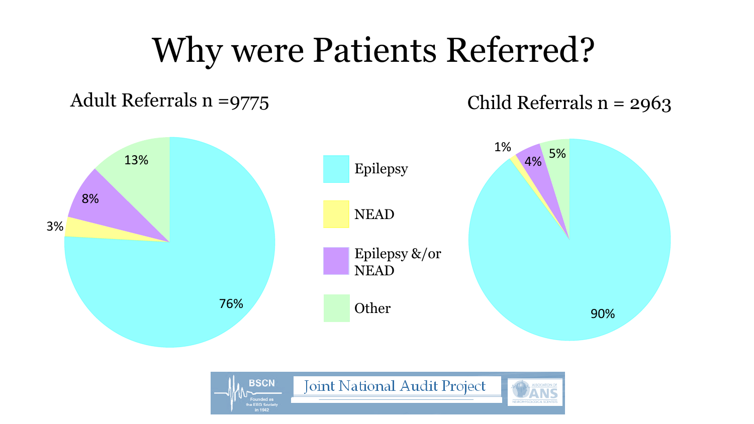### Why were Patients Referred?

Adult Referrals n =9775

Child Referrals  $n = 2963$ 

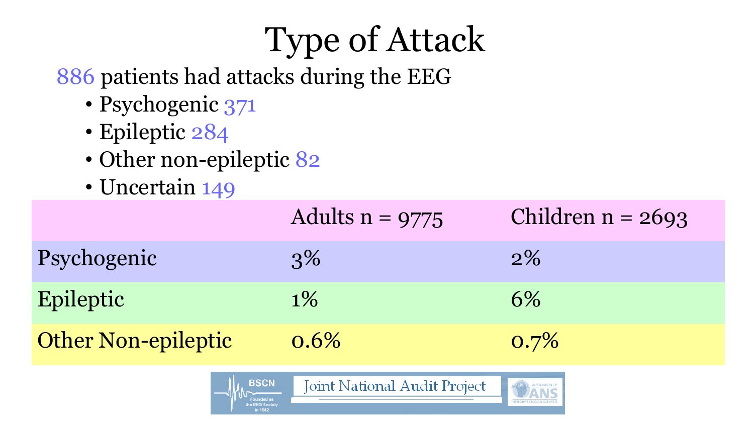## Type of Attack

886 patients had attacks during the EEG

- Psychogenic 371
- Epileptic 284
- Other non-epileptic 82
- Uncertain 149

|                            | Adults $n = 9775$ | Children $n = 2693$ |
|----------------------------|-------------------|---------------------|
| Psychogenic                | $3\%$             | $2\%$               |
| Epileptic                  | $1\%$             | 6%                  |
| <b>Other Non-epileptic</b> | $0.6\%$           | 0.7%                |

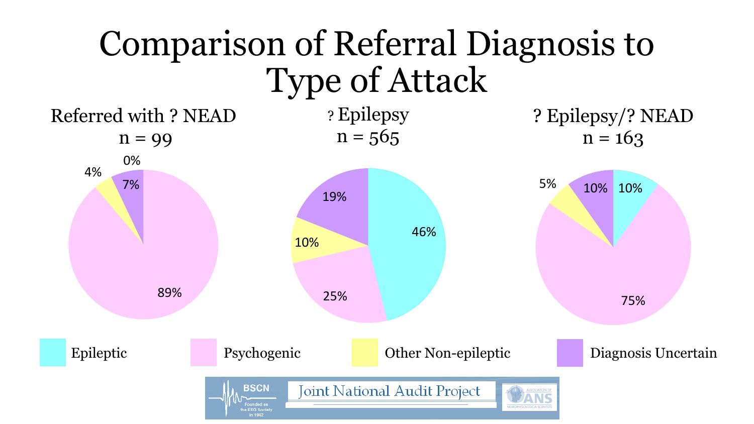### Comparison of Referral Diagnosis to Type of Attack

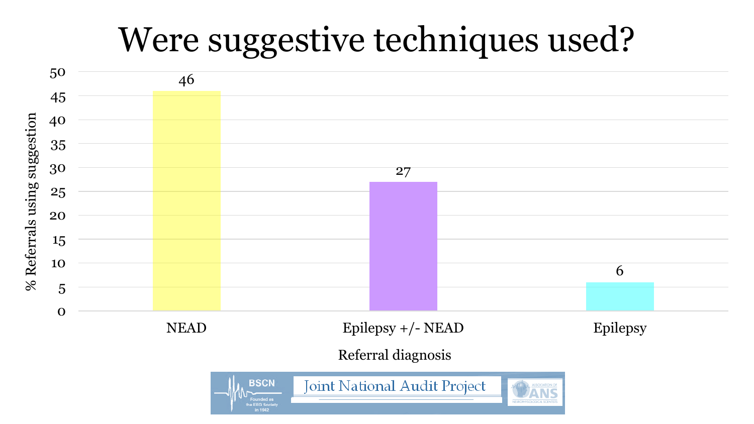### Were suggestive techniques used?

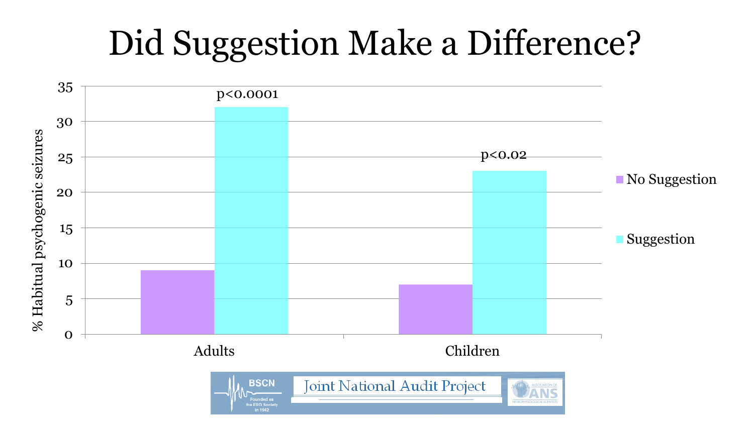### Did Suggestion Make a Difference?

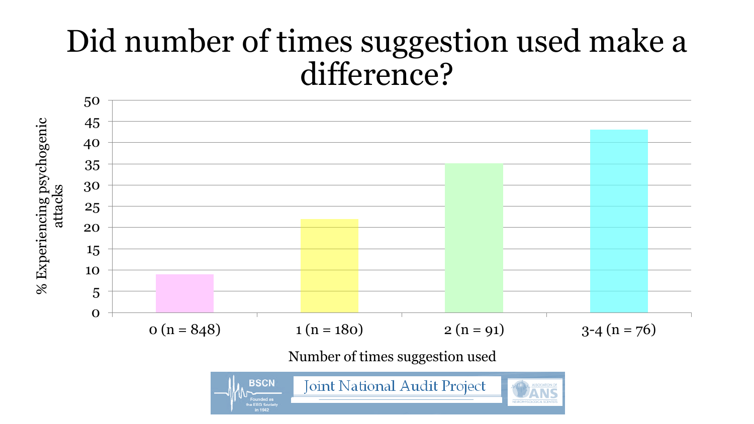#### Did number of times suggestion used make a difference?



Number of times suggestion used

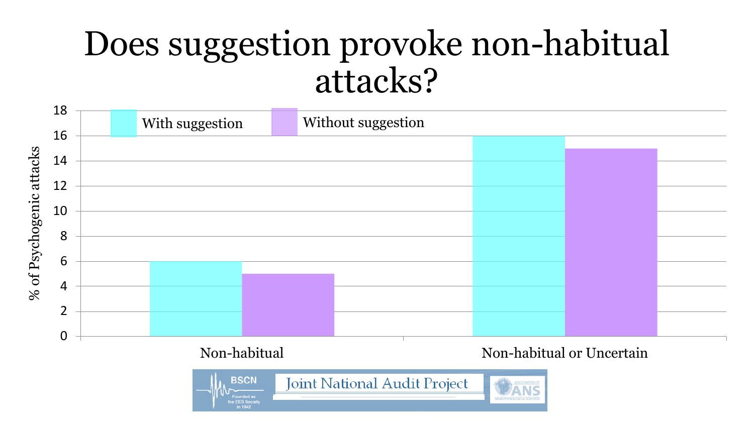#### Does suggestion provoke non-habitual attacks?

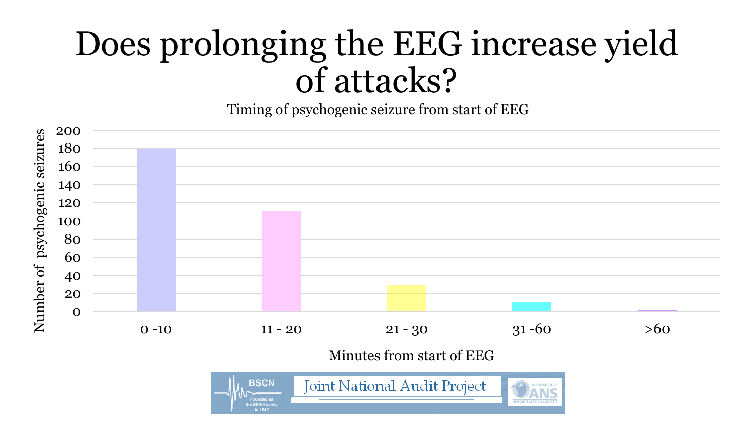### Does prolonging the EEG increase yield of attacks?

Timing of psychogenic seizure from start of EEG



Minutes from start of EEG

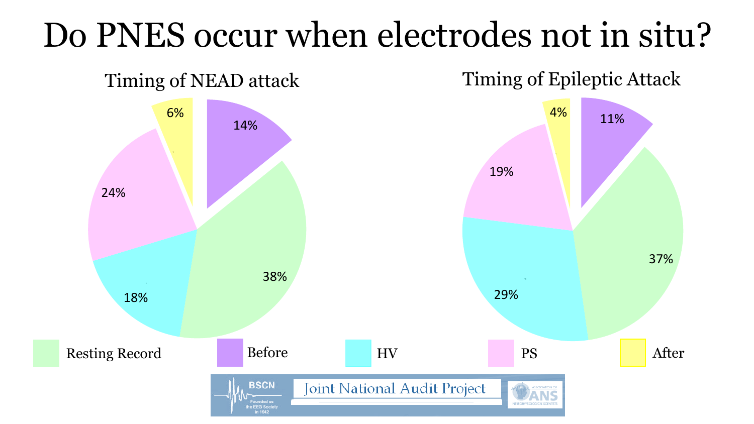#### Do PNES occur when electrodes not in situ?

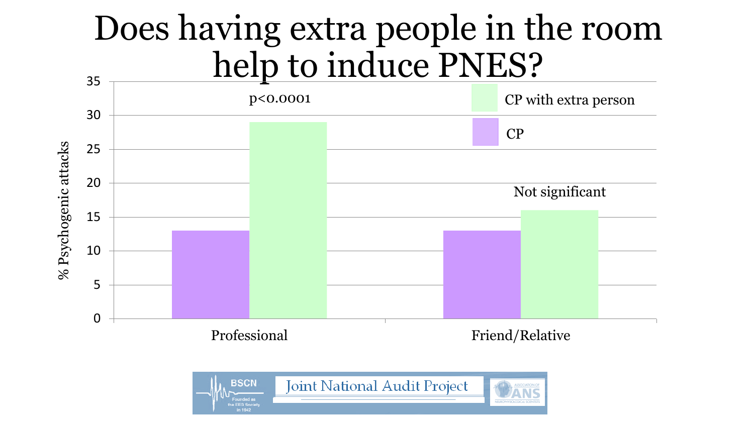#### Does having extra people in the room help to induce PNES?



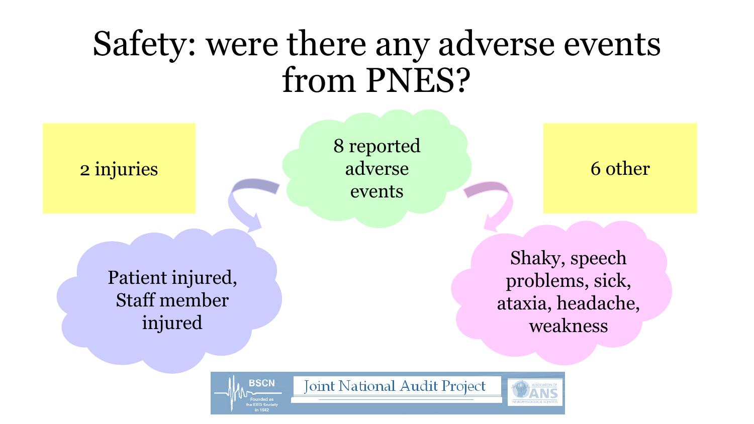#### Safety: were there any adverse events from PNES?

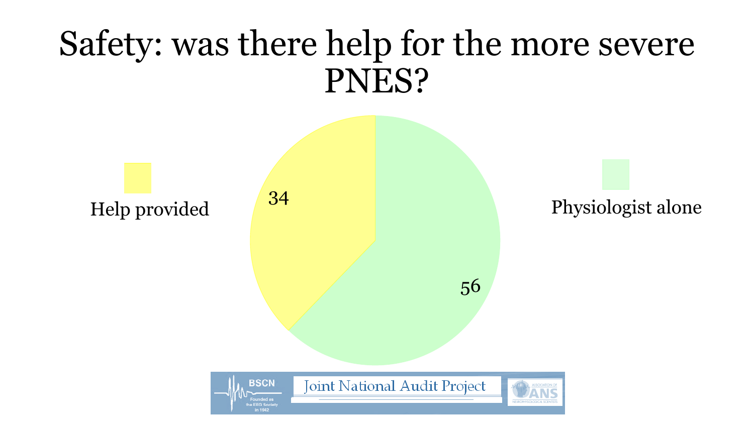#### Safety: was there help for the more severe PNES?

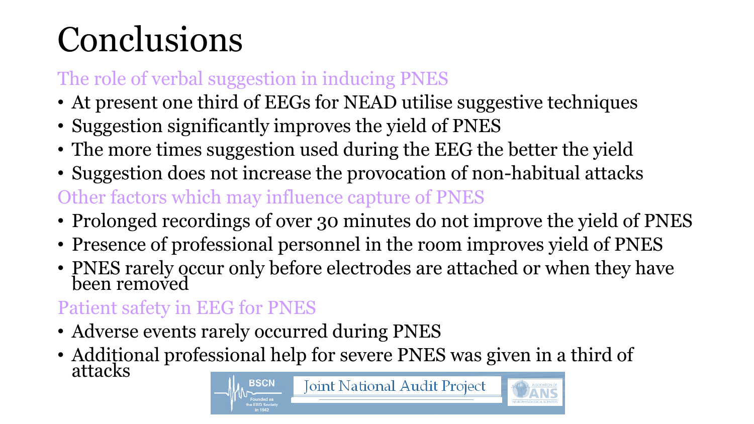### Conclusions

#### The role of verbal suggestion in inducing PNES

- At present one third of EEGs for NEAD utilise suggestive techniques
- Suggestion significantly improves the yield of PNES
- The more times suggestion used during the EEG the better the yield
- Suggestion does not increase the provocation of non-habitual attacks Other factors which may influence capture of PNES
- Prolonged recordings of over 30 minutes do not improve the yield of PNES
- Presence of professional personnel in the room improves yield of PNES
- PNES rarely occur only before electrodes are attached or when they have been removed

#### Patient safety in EEG for PNES

- Adverse events rarely occurred during PNES
- Additional professional help for severe PNES was given in a third of attacks

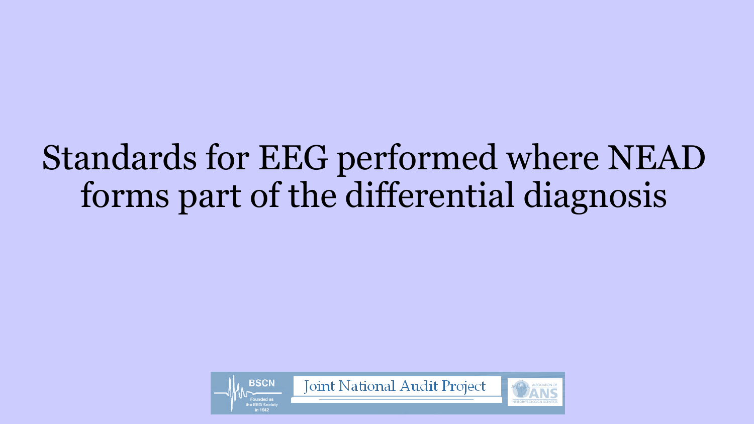#### Standards for EEG performed where NEAD forms part of the differential diagnosis

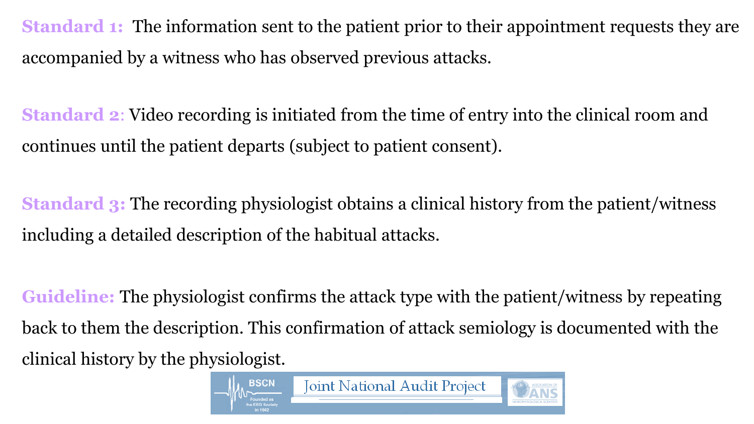**Standard 1:** The information sent to the patient prior to their appointment requests they are accompanied by a witness who has observed previous attacks.

**Standard 2**: Video recording is initiated from the time of entry into the clinical room and continues until the patient departs (subject to patient consent).

**Standard 3:** The recording physiologist obtains a clinical history from the patient/witness including a detailed description of the habitual attacks.

**Guideline:** The physiologist confirms the attack type with the patient/witness by repeating back to them the description. This confirmation of attack semiology is documented with the clinical history by the physiologist.

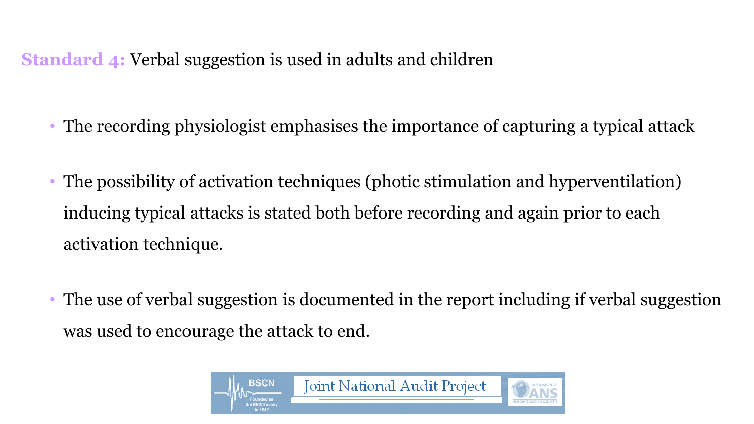**Standard 4:** Verbal suggestion is used in adults and children

- The recording physiologist emphasises the importance of capturing a typical attack
- The possibility of activation techniques (photic stimulation and hyperventilation) inducing typical attacks is stated both before recording and again prior to each activation technique.
- The use of verbal suggestion is documented in the report including if verbal suggestion was used to encourage the attack to end.

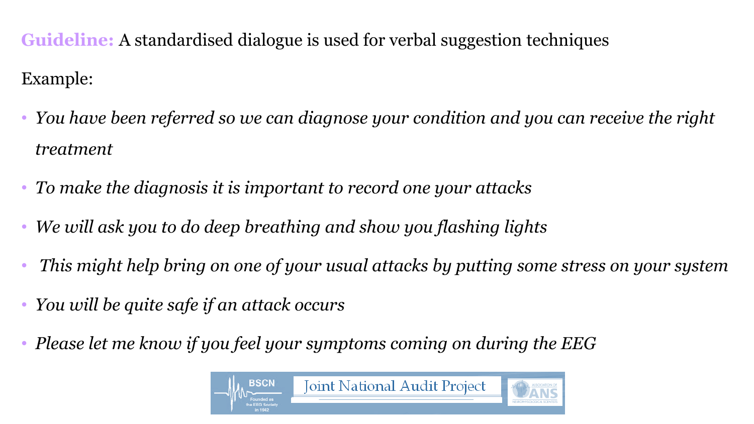**Guideline:** A standardised dialogue is used for verbal suggestion techniques Example:

- *You have been referred so we can diagnose your condition and you can receive the right treatment*
- *To make the diagnosis it is important to record one your attacks*
- *We will ask you to do deep breathing and show you flashing lights*
- *This might help bring on one of your usual attacks by putting some stress on your system*
- *You will be quite safe if an attack occurs*
- *Please let me know if you feel your symptoms coming on during the EEG*

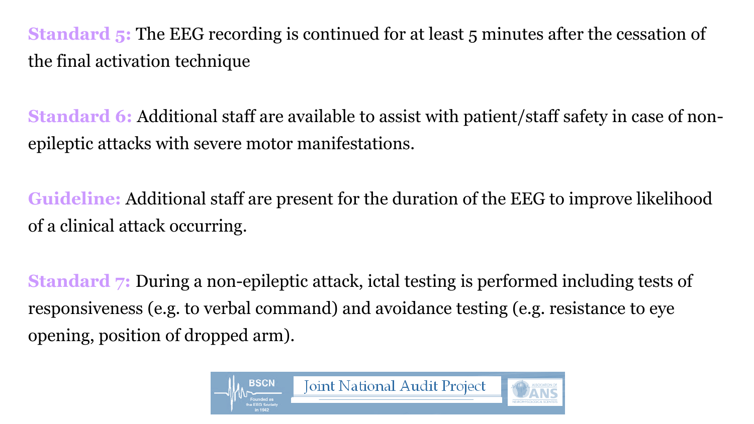**Standard 5:** The EEG recording is continued for at least 5 minutes after the cessation of the final activation technique

**Standard 6:** Additional staff are available to assist with patient/staff safety in case of nonepileptic attacks with severe motor manifestations.

**Guideline:** Additional staff are present for the duration of the EEG to improve likelihood of a clinical attack occurring.

**Standard 7:** During a non-epileptic attack, ictal testing is performed including tests of responsiveness (e.g. to verbal command) and avoidance testing (e.g. resistance to eye opening, position of dropped arm).

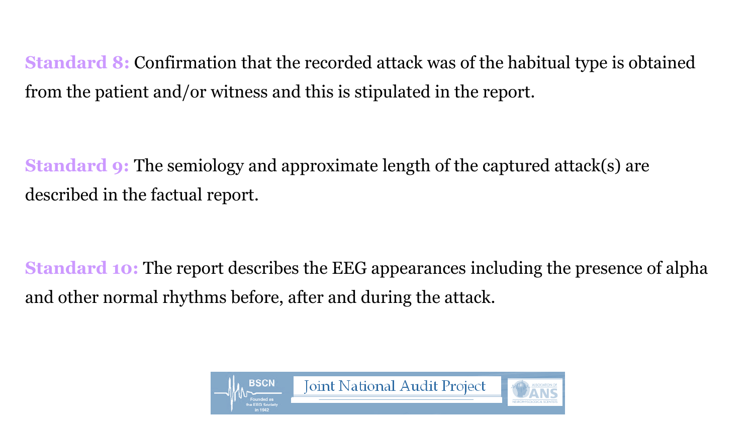**Standard 8:** Confirmation that the recorded attack was of the habitual type is obtained from the patient and/or witness and this is stipulated in the report.

**Standard 9:** The semiology and approximate length of the captured attack(s) are described in the factual report.

**Standard 10:** The report describes the EEG appearances including the presence of alpha and other normal rhythms before, after and during the attack.

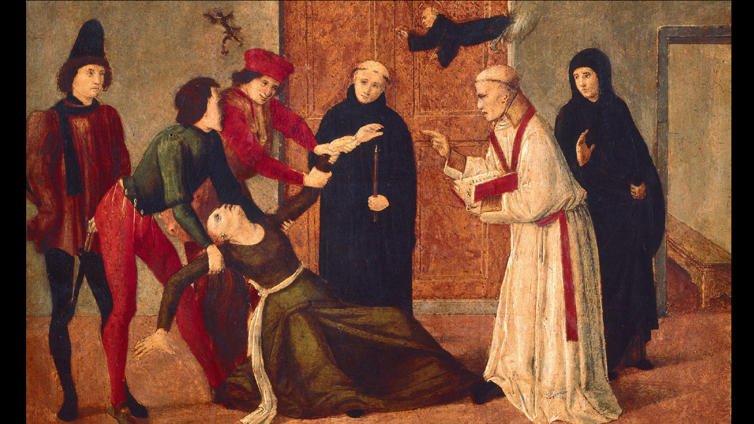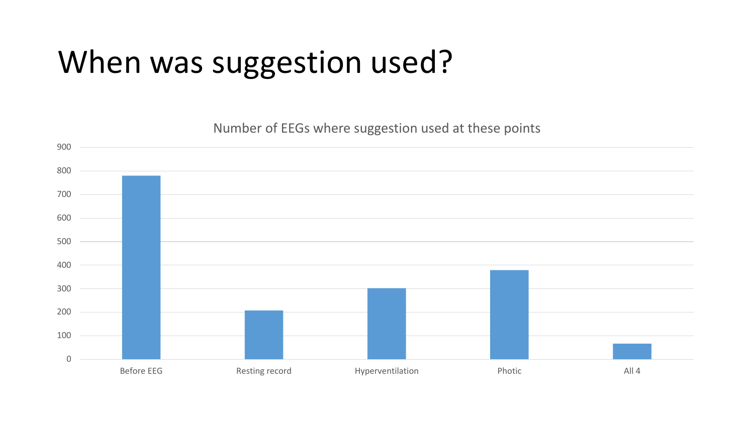#### When was suggestion used?

Number of EEGs where suggestion used at these points

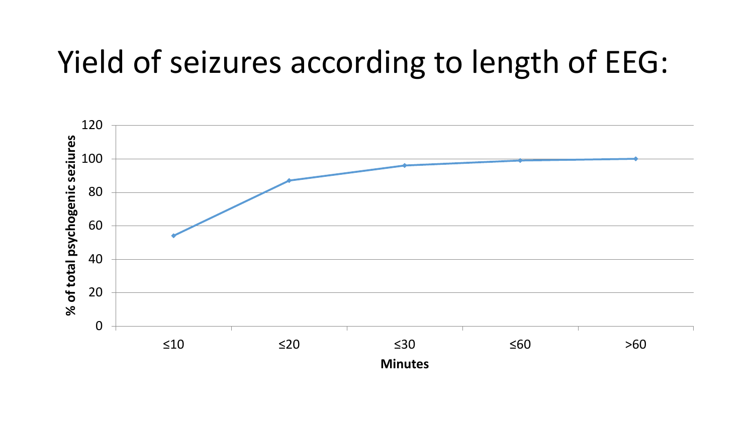#### Yield of seizures according to length of EEG:

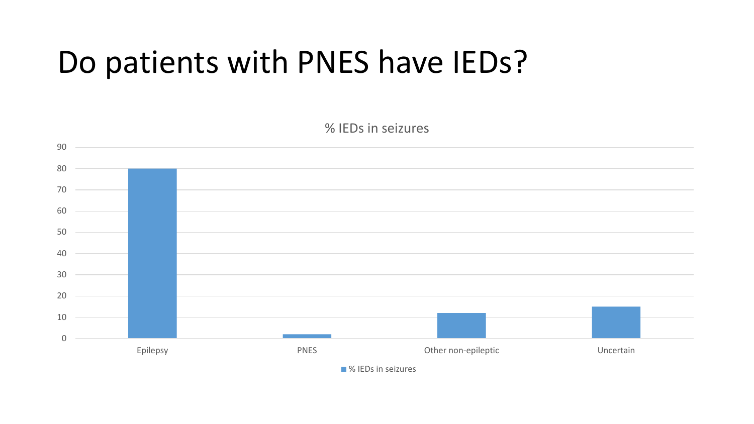#### Do patients with PNES have IEDs?